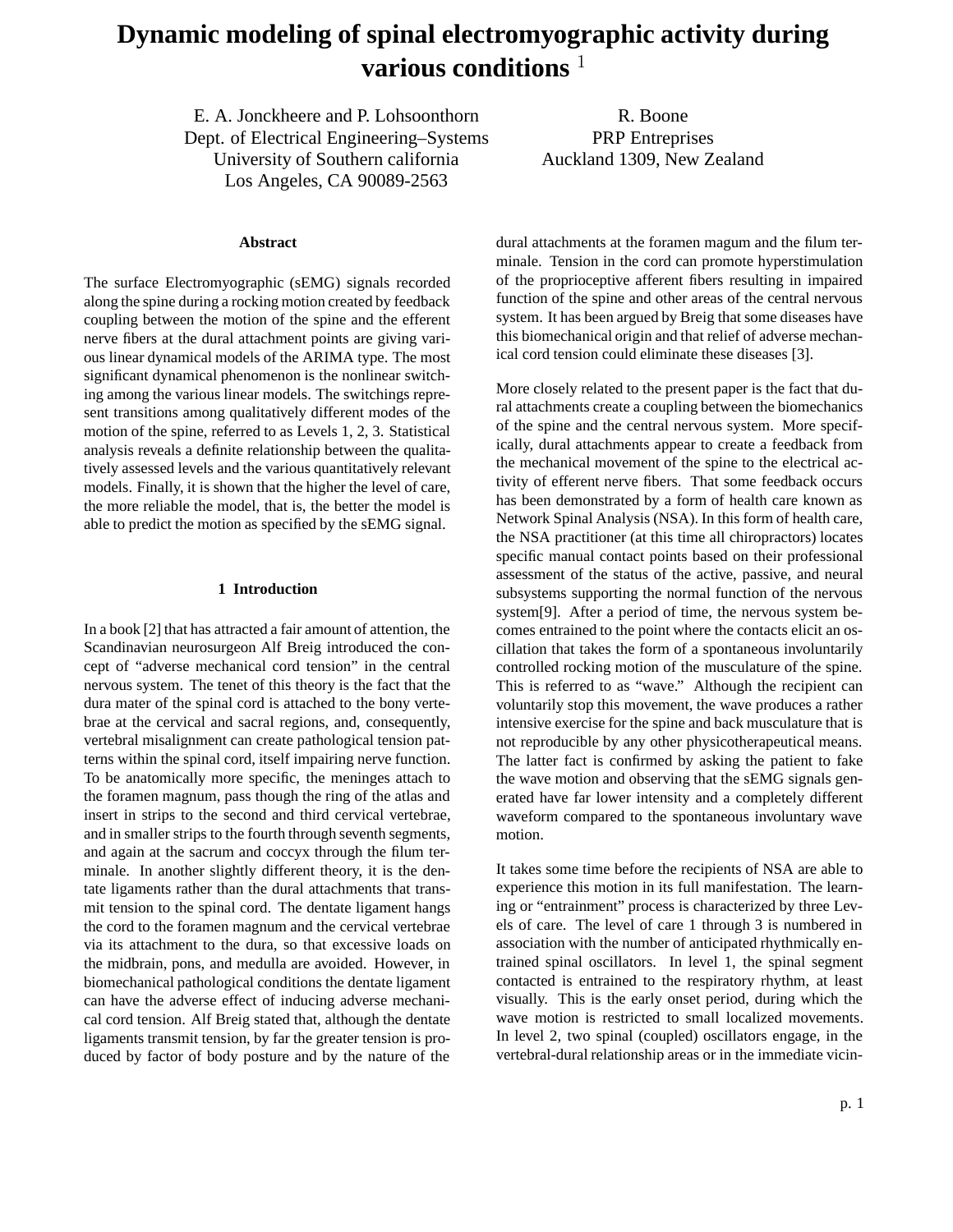# **Dynamic modeling of spinal electromyographic activity during** various conditions <sup>1</sup>

E. A. Jonckheere and P. Lohsoonthorn Dept. of Electrical Engineering–Systems University of Southern california Los Angeles, CA 90089-2563

# **Abstract**

The surface Electromyographic (sEMG) signals recorded along the spine during a rocking motion created by feedback coupling between the motion of the spine and the efferent nerve fibers at the dural attachment points are giving various linear dynamical models of the ARIMA type. The most significant dynamical phenomenon is the nonlinear switching among the various linear models. The switchings represent transitions among qualitatively different modes of the motion of the spine, referred to as Levels 1, 2, 3. Statistical analysis reveals a definite relationship between the qualitatively assessed levels and the various quantitatively relevant models. Finally, it is shown that the higher the level of care, the more reliable the model, that is, the better the model is able to predict the motion as specified by the sEMG signal.

# **1 Introduction**

In a book [2] that has attracted a fair amount of attention, the Scandinavian neurosurgeon Alf Breig introduced the concept of "adverse mechanical cord tension" in the central nervous system. The tenet of this theory is the fact that the dura mater of the spinal cord is attached to the bony vertebrae at the cervical and sacral regions, and, consequently, vertebral misalignment can create pathological tension patterns within the spinal cord, itself impairing nerve function. To be anatomically more specific, the meninges attach to the foramen magnum, pass though the ring of the atlas and insert in strips to the second and third cervical vertebrae, and in smaller strips to the fourth through seventh segments, and again at the sacrum and coccyx through the filum terminale. In another slightly different theory, it is the dentate ligaments rather than the dural attachments that transmit tension to the spinal cord. The dentate ligament hangs the cord to the foramen magnum and the cervical vertebrae via its attachment to the dura, so that excessive loads on the midbrain, pons, and medulla are avoided. However, in biomechanical pathological conditions the dentate ligament can have the adverse effect of inducing adverse mechanical cord tension. Alf Breig stated that, although the dentate ligaments transmit tension, by far the greater tension is produced by factor of body posture and by the nature of the

R. Boone PRP Entreprises Auckland 1309, New Zealand

dural attachments at the foramen magum and the filum terminale. Tension in the cord can promote hyperstimulation of the proprioceptive afferent fibers resulting in impaired function of the spine and other areas of the central nervous system. It has been argued by Breig that some diseases have this biomechanical origin and that relief of adverse mechanical cord tension could eliminate these diseases [3].

More closely related to the present paper is the fact that dural attachments create a coupling between the biomechanics of the spine and the central nervous system. More specifically, dural attachments appear to create a feedback from the mechanical movement of the spine to the electrical activity of efferent nerve fibers. That some feedback occurs has been demonstrated by a form of health care known as Network Spinal Analysis (NSA). In this form of health care, the NSA practitioner (at this time all chiropractors) locates specific manual contact points based on their professional assessment of the status of the active, passive, and neural subsystems supporting the normal function of the nervous system[9]. After a period of time, the nervous system becomes entrained to the point where the contacts elicit an oscillation that takes the form of a spontaneous involuntarily controlled rocking motion of the musculature of the spine. This is referred to as "wave." Although the recipient can voluntarily stop this movement, the wave produces a rather intensive exercise for the spine and back musculature that is not reproducible by any other physicotherapeutical means. The latter fact is confirmed by asking the patient to fake the wave motion and observing that the sEMG signals generated have far lower intensity and a completely different waveform compared to the spontaneous involuntary wave motion.

It takes some time before the recipients of NSA are able to experience this motion in its full manifestation. The learning or "entrainment" process is characterized by three Levels of care. The level of care 1 through 3 is numbered in association with the number of anticipated rhythmically entrained spinal oscillators. In level 1, the spinal segment contacted is entrained to the respiratory rhythm, at least visually. This is the early onset period, during which the wave motion is restricted to small localized movements. In level 2, two spinal (coupled) oscillators engage, in the vertebral-dural relationship areas or in the immediate vicin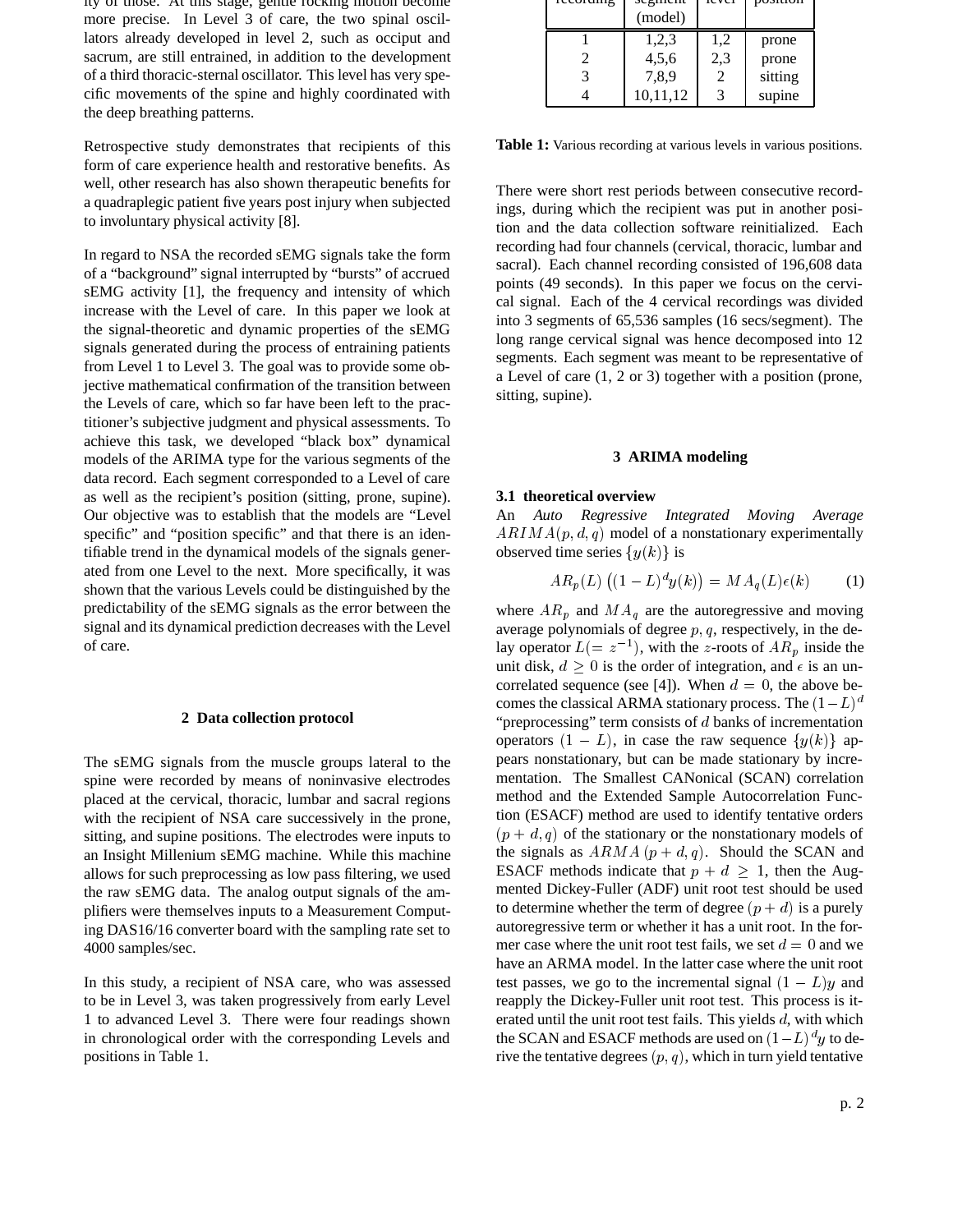ity of those. At this stage, gentle rocking motion become more precise. In Level 3 of care, the two spinal oscillators already developed in level 2, such as occiput and sacrum, are still entrained, in addition to the development of a third thoracic-sternal oscillator. This level has very specific movements of the spine and highly coordinated with the deep breathing patterns.

Retrospective study demonstrates that recipients of this form of care experience health and restorative benefits. As well, other research has also shown therapeutic benefits for a quadraplegic patient five years post injury when subjected to involuntary physical activity [8].

In regard to NSA the recorded sEMG signals take the form of a "background" signal interrupted by "bursts" of accrued sEMG activity [1], the frequency and intensity of which increase with the Level of care. In this paper we look at the signal-theoretic and dynamic properties of the sEMG signals generated during the process of entraining patients from Level 1 to Level 3. The goal was to provide some objective mathematical confirmation of the transition between the Levels of care, which so far have been left to the practitioner's subjective judgment and physical assessments. To achieve this task, we developed "black box" dynamical models of the ARIMA type for the various segments of the data record. Each segment corresponded to a Level of care as well as the recipient's position (sitting, prone, supine). Our objective was to establish that the models are "Level specific" and "position specific" and that there is an identifiable trend in the dynamical models of the signals generated from one Level to the next. More specifically, it was shown that the various Levels could be distinguished by the predictability of the sEMG signals as the error between the signal and its dynamical prediction decreases with the Level of care.

### **2 Data collection protocol**

The sEMG signals from the muscle groups lateral to the spine were recorded by means of noninvasive electrodes placed at the cervical, thoracic, lumbar and sacral regions with the recipient of NSA care successively in the prone, sitting, and supine positions. The electrodes were inputs to an Insight Millenium sEMG machine. While this machine allows for such preprocessing as low pass filtering, we used the raw sEMG data. The analog output signals of the amplifiers were themselves inputs to a Measurement Computing DAS16/16 converter board with the sampling rate set to 4000 samples/sec.

In this study, a recipient of NSA care, who was assessed to be in Level 3, was taken progressively from early Level 1 to advanced Level 3. There were four readings shown in chronological order with the corresponding Levels and positions in Table 1.

| r <del>ecorum</del>         | (model)  |     |         |
|-----------------------------|----------|-----|---------|
|                             | 1,2,3    | 1,2 | prone   |
| $\mathcal{D}_{\mathcal{L}}$ | 4,5,6    | 2,3 | prone   |
| 3                           | 7,8,9    |     | sitting |
|                             | 10,11,12 |     | supine  |

**Table 1:** Various recording at various levels in various positions.

There were short rest periods between consecutive recordings, during which the recipient was put in another position and the data collection software reinitialized. Each recording had four channels (cervical, thoracic, lumbar and sacral). Each channel recording consisted of 196,608 data points (49 seconds). In this paper we focus on the cervical signal. Each of the 4 cervical recordings was divided into 3 segments of 65,536 samples (16 secs/segment). The long range cervical signal was hence decomposed into 12 segments. Each segment was meant to be representative of a Level of care (1, 2 or 3) together with a position (prone, sitting, supine).

#### **3 ARIMA modeling**

### **3.1 theoretical overview**

An *Auto Regressive Integrated Moving Average*  $ARIMA(p, d, q)$  model of a nonstationary experimentally observed time series  $\{y(k)\}\$ is

$$
AR_p(L)\left((1-L)^dy(k)\right) = MA_q(L)\epsilon(k) \tag{1}
$$

where  $AR_p$  and  $MA_q$  are the autoregressive and moving average polynomials of degree  $p, q$ , respectively, in the delay operator  $L(= z^{-1})$ , with the z-roots of  $AR_p$  inside the unit disk,  $d \geq 0$  is the order of integration, and  $\epsilon$  is an uncorrelated sequence (see [4]). When  $d = 0$ , the above becomes the classical ARMA stationary process. The  $(1-L)^d$ "preprocessing" term consists of  $d$  banks of incrementation operators  $(1 - L)$ , in case the raw sequence  $\{y(k)\}\$ appears nonstationary, but can be made stationary by incrementation. The Smallest CANonical (SCAN) correlation method and the Extended Sample Autocorrelation Function (ESACF) method are used to identify tentative orders  $(p + d, q)$  of the stationary or the nonstationary models of the signals as  $ARMA (p + d, q)$ . Should the SCAN and ESACF methods indicate that  $p + d \geq 1$ , then the Augmented Dickey-Fuller (ADF) unit root test should be used to determine whether the term of degree  $(p + d)$  is a purely autoregressive term or whether it has a unit root. In the former case where the unit root test fails, we set  $d = 0$  and we have an ARMA model. In the latter case where the unit root test passes, we go to the incremental signal  $(1 - L)y$  and reapply the Dickey-Fuller unit root test. This process is iterated until the unit root test fails. This yields <sup>d</sup>, with which the SCAN and ESACF methods are used on  $(1-L)^{d}y$  to derive the tentative degrees  $(p, q)$ , which in turn yield tentative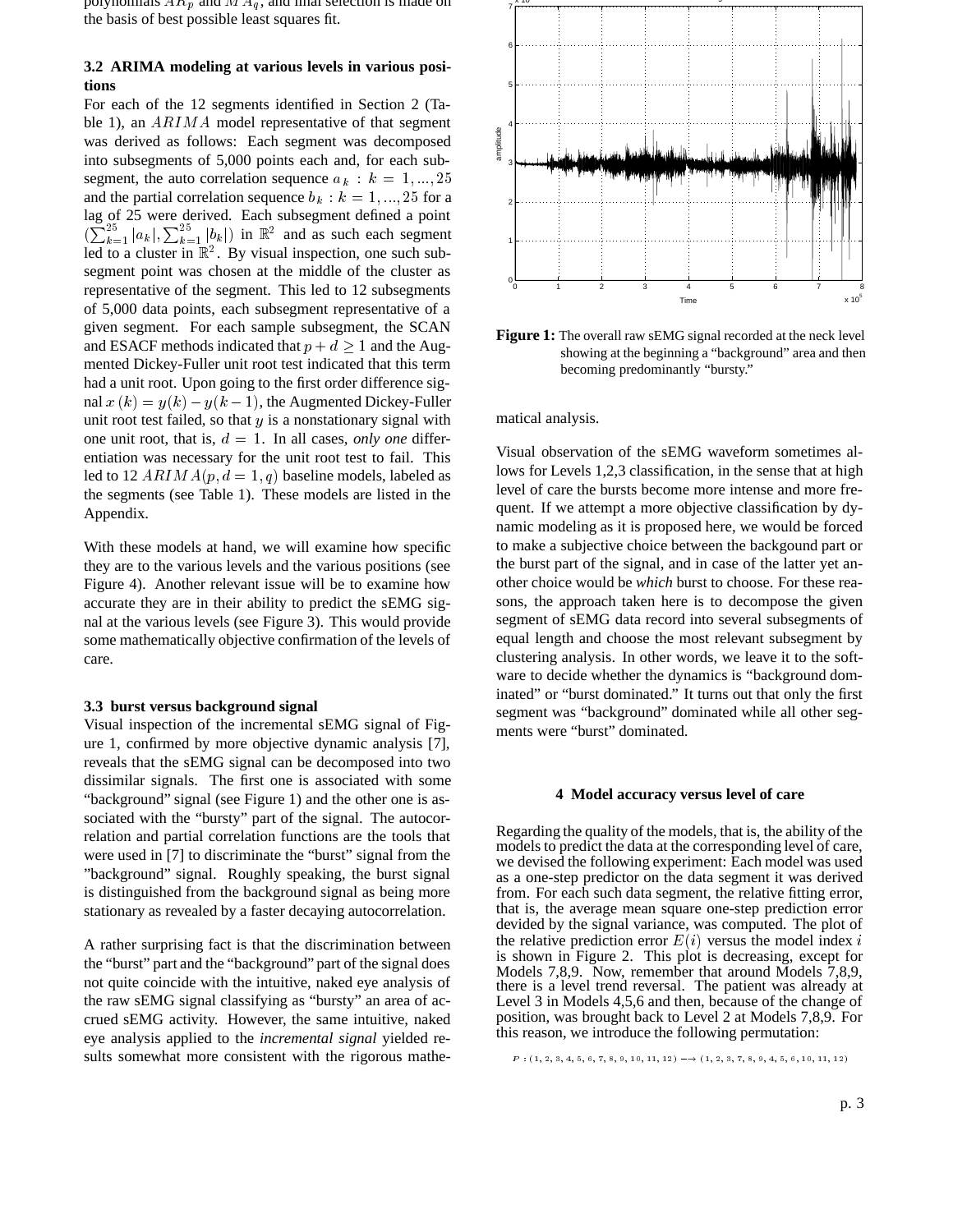polynomials  $A\Lambda_p$  and  $M\Lambda_q$ , and final selection is made on the basis of best possible least squares fit.

# **3.2 ARIMA modeling at various levels in various positions**

For each of the 12 segments identified in Section 2 (Table 1), an  $ARIMA$  model representative of that segment was derived as follows: Each segment was decomposed into subsegments of 5,000 points each and, for each subsegment, the auto correlation sequence  $a_k : k = 1, ..., 25$ and the partial correlation sequence  $b_k : k = 1, ..., 25$  for a lag of 25 were derived. Each subsegment defined a point  $\left(\sum_{k=1}^{25} |a_k|, \sum_{k=1}^{25} |b_k|\right)$  in  $\mathbb{R}^2$  and as such each segment led to a cluster in  $\mathbb{R}^2$ . By visual inspection, one such subsegment point was chosen at the middle of the cluster as representative of the segment. This led to 12 subsegments of 5,000 data points, each subsegment representative of a given segment. For each sample subsegment, the SCAN and ESACF methods indicated that  $p + d \ge 1$  and the Augmented Dickey-Fuller unit root test indicated that this term had a unit root. Upon going to the first order difference signal  $x(k) = y(k) - y(k-1)$ , the Augmented Dickey-Fuller unit root test failed, so that  $y$  is a nonstationary signal with one unit root, that is,  $d = 1$ . In all cases, *only one* differentiation was necessary for the unit root test to fail. This led to 12  $ARIMA(p, d = 1, q)$  baseline models, labeled as the segments (see Table 1). These models are listed in the Appendix.

With these models at hand, we will examine how specific they are to the various levels and the various positions (see Figure 4). Another relevant issue will be to examine how accurate they are in their ability to predict the sEMG signal at the various levels (see Figure 3). This would provide some mathematically objective confirmation of the levels of care.

#### **3.3 burst versus background signal**

Visual inspection of the incremental sEMG signal of Figure 1, confirmed by more objective dynamic analysis [7], reveals that the sEMG signal can be decomposed into two dissimilar signals. The first one is associated with some "background" signal (see Figure 1) and the other one is associated with the "bursty" part of the signal. The autocorrelation and partial correlation functions are the tools that were used in [7] to discriminate the "burst" signal from the "background" signal. Roughly speaking, the burst signal is distinguished from the background signal as being more stationary as revealed by a faster decaying autocorrelation.

A rather surprising fact is that the discrimination between the "burst" part and the "background" part of the signal does not quite coincide with the intuitive, naked eye analysis of the raw sEMG signal classifying as "bursty" an area of accrued sEMG activity. However, the same intuitive, naked eye analysis applied to the *incremental signal* yielded results somewhat more consistent with the rigorous mathe-



**Figure 1:** The overall raw sEMG signal recorded at the neck level showing at the beginning a "background" area and then becoming predominantly "bursty."

matical analysis.

Visual observation of the sEMG waveform sometimes allows for Levels 1,2,3 classification, in the sense that at high level of care the bursts become more intense and more frequent. If we attempt a more objective classification by dynamic modeling as it is proposed here, we would be forced to make a subjective choice between the backgound part or the burst part of the signal, and in case of the latter yet another choice would be *which* burst to choose. For these reasons, the approach taken here is to decompose the given segment of sEMG data record into several subsegments of equal length and choose the most relevant subsegment by clustering analysis. In other words, we leave it to the software to decide whether the dynamics is "background dominated" or "burst dominated." It turns out that only the first segment was "background" dominated while all other segments were "burst" dominated.

#### **4 Model accuracy versus level of care**

Regarding the quality of the models, that is, the ability of the models to predict the data at the corresponding level of care, we devised the following experiment: Each model was used as a one-step predictor on the data segment it was derived from. For each such data segment, the relative fitting error, that is, the average mean square one-step prediction error devided by the signal variance, was computed. The plot of the relative prediction error  $E(i)$  versus the model index i is shown in Figure 2. This plot is decreasing, except for Models 7,8,9. Now, remember that around Models 7,8,9, there is a level trend reversal. The patient was already at Level 3 in Models 4,5,6 and then, because of the change of position, was brought back to Level 2 at Models 7,8,9. For this reason, we introduce the following permutation:

 $P \; : \; \left(\,1,\, 2,\, 3,\, 4,\, 5,\, 6,\, 7,\, 8,\, 9,\, 10,\, 11,\, 12\,\right) \; \longrightarrow \; \left(\,1,\, 2,\, 3,\, 7,\, 8,\, 9,\, 4,\, 5,\, 6,\, 10,\, 11,\, 12\,\right)$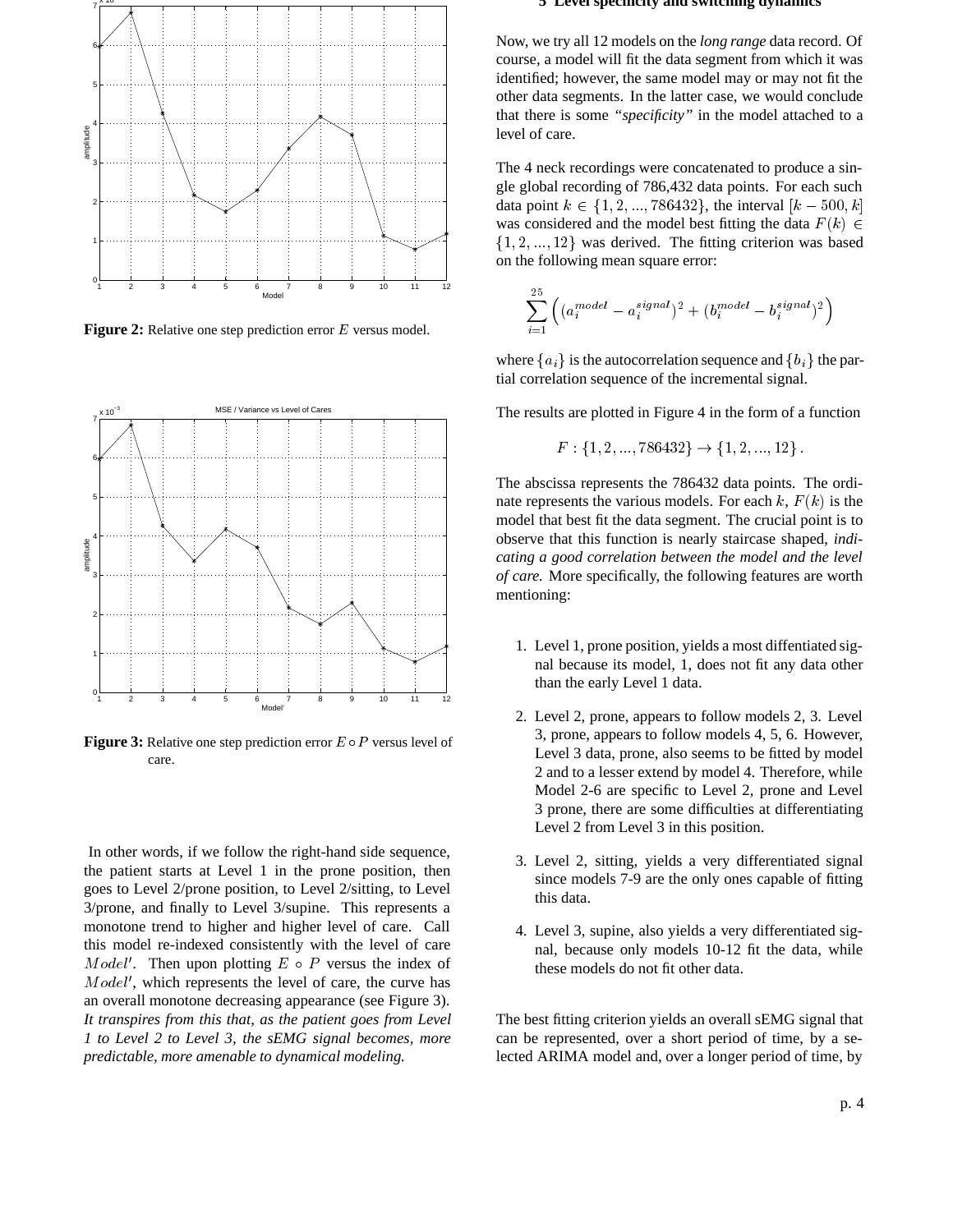

**Figure 2:** Relative one step prediction error E versus model.



**Figure 3:** Relative one step prediction error  $E \circ P$  versus level of care.

In other words, if we follow the right-hand side sequence, the patient starts at Level 1 in the prone position, then goes to Level 2/prone position, to Level 2/sitting, to Level 3/prone, and finally to Level 3/supine. This represents a monotone trend to higher and higher level of care. Call this model re-indexed consistently with the level of care *Model'*. Then upon plotting  $E \circ P$  versus the index of Model', which represents the level of care, the curve has an overall monotone decreasing appearance (see Figure 3). *It transpires from this that, as the patient goes from Level 1 to Level 2 to Level 3, the sEMG signal becomes, more predictable, more amenable to dynamical modeling.*

#### **5 Level specificity and switching dynamics**

Now, we try all 12 models on the *long range* data record. Of course, a model will fit the data segment from which it was identified; however, the same model may or may not fit the other data segments. In the latter case, we would conclude that there is some *"specificity"* in the model attached to a level of care.

The 4 neck recordings were concatenated to produce a single global recording of 786,432 data points. For each such data point  $k \in \{1, 2, ..., 786432\}$ , the interval  $[k - 500, k]$ was considered and the model best fitting the data  $F(k) \in$  $\{1, 2, \ldots, 12\}$  was derived. The fitting criterion was based on the following mean square error:

$$
\sum_{i=1}^{25}\left((a_i^{model}-a_i^{signal})^2+(b_i^{model}-b_i^{signal})^2\right)
$$

where  ${a_i}$  is the autocorrelation sequence and  ${b_i}$  the partial correlation sequence of the incremental signal.

The results are plotted in Figure 4 in the form of a function

$$
F: \{1, 2, ..., 786432\} \rightarrow \{1, 2, ..., 12\}.
$$

The abscissa represents the 786432 data points. The ordinate represents the various models. For each  $k$ ,  $F(k)$  is the model that best fit the data segment. The crucial point is to observe that this function is nearly staircase shaped, *indicating a good correlation between the model and the level of care.* More specifically, the following features are worth mentioning:

- 1. Level 1, prone position, yields a most diffentiated signal because its model, 1, does not fit any data other than the early Level 1 data.
- 2. Level 2, prone, appears to follow models 2, 3. Level 3, prone, appears to follow models 4, 5, 6. However, Level 3 data, prone, also seems to be fitted by model 2 and to a lesser extend by model 4. Therefore, while Model 2-6 are specific to Level 2, prone and Level 3 prone, there are some difficulties at differentiating Level 2 from Level 3 in this position.
- 3. Level 2, sitting, yields a very differentiated signal since models 7-9 are the only ones capable of fitting this data.
- 4. Level 3, supine, also yields a very differentiated signal, because only models 10-12 fit the data, while these models do not fit other data.

The best fitting criterion yields an overall sEMG signal that can be represented, over a short period of time, by a selected ARIMA model and, over a longer period of time, by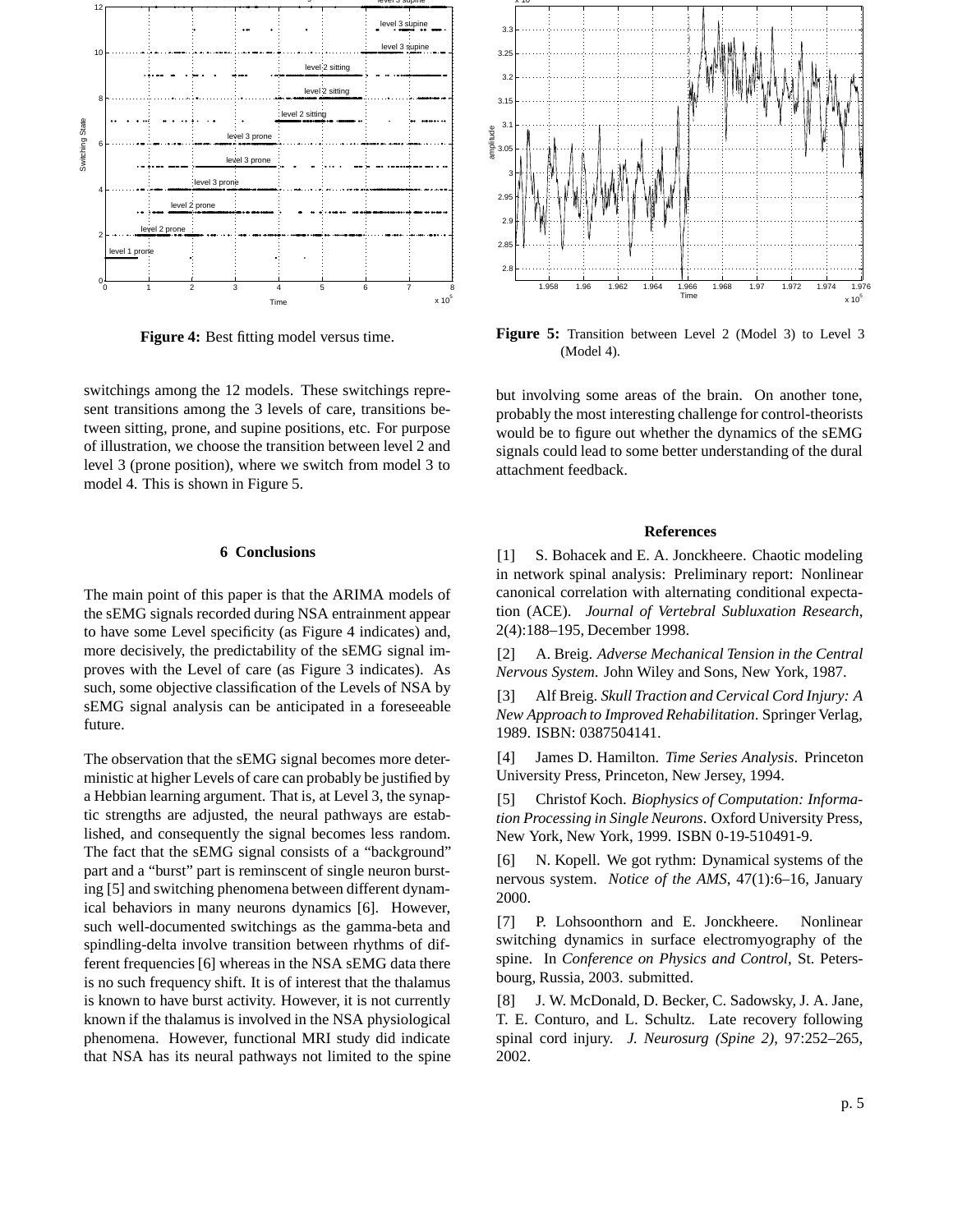

**Figure 4:** Best fitting model versus time.

switchings among the 12 models. These switchings represent transitions among the 3 levels of care, transitions between sitting, prone, and supine positions, etc. For purpose of illustration, we choose the transition between level 2 and level 3 (prone position), where we switch from model 3 to model 4. This is shown in Figure 5.

#### **6 Conclusions**

The main point of this paper is that the ARIMA models of the sEMG signals recorded during NSA entrainment appear to have some Level specificity (as Figure 4 indicates) and, more decisively, the predictability of the sEMG signal improves with the Level of care (as Figure 3 indicates). As such, some objective classification of the Levels of NSA by sEMG signal analysis can be anticipated in a foreseeable future.

The observation that the sEMG signal becomes more deterministic at higher Levels of care can probably be justified by a Hebbian learning argument. That is, at Level 3, the synaptic strengths are adjusted, the neural pathways are established, and consequently the signal becomes less random. The fact that the sEMG signal consists of a "background" part and a "burst" part is reminscent of single neuron bursting [5] and switching phenomena between different dynamical behaviors in many neurons dynamics [6]. However, such well-documented switchings as the gamma-beta and spindling-delta involve transition between rhythms of different frequencies [6] whereas in the NSA sEMG data there is no such frequency shift. It is of interest that the thalamus is known to have burst activity. However, it is not currently known if the thalamus is involved in the NSA physiological phenomena. However, functional MRI study did indicate that NSA has its neural pathways not limited to the spine



**Figure 5:** Transition between Level 2 (Model 3) to Level 3 (Model 4).

but involving some areas of the brain. On another tone, probably the most interesting challenge for control-theorists would be to figure out whether the dynamics of the sEMG signals could lead to some better understanding of the dural attachment feedback.

### **References**

[1] S. Bohacek and E. A. Jonckheere. Chaotic modeling in network spinal analysis: Preliminary report: Nonlinear canonical correlation with alternating conditional expectation (ACE). *Journal of Vertebral Subluxation Research*, 2(4):188–195, December 1998.

[2] A. Breig. *Adverse Mechanical Tension in the Central Nervous System*. John Wiley and Sons, New York, 1987.

[3] Alf Breig. *Skull Traction and Cervical Cord Injury: A New Approach to Improved Rehabilitation*. Springer Verlag, 1989. ISBN: 0387504141.

[4] James D. Hamilton. *Time Series Analysis*. Princeton University Press, Princeton, New Jersey, 1994.

[5] Christof Koch. *Biophysics of Computation: Information Processing in Single Neurons*. Oxford University Press, New York, New York, 1999. ISBN 0-19-510491-9.

[6] N. Kopell. We got rythm: Dynamical systems of the nervous system. *Notice of the AMS*, 47(1):6–16, January 2000.

[7] P. Lohsoonthorn and E. Jonckheere. Nonlinear switching dynamics in surface electromyography of the spine. In *Conference on Physics and Control*, St. Petersbourg, Russia, 2003. submitted.

[8] J. W. McDonald, D. Becker, C. Sadowsky, J. A. Jane, T. E. Conturo, and L. Schultz. Late recovery following spinal cord injury. *J. Neurosurg (Spine 2)*, 97:252–265, 2002.